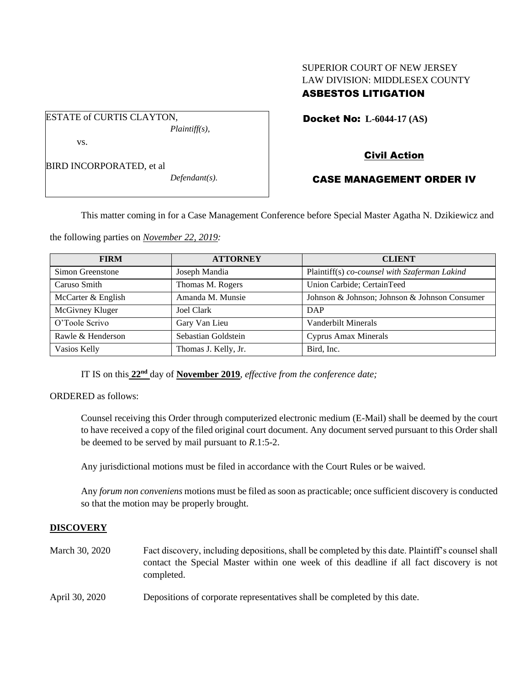# SUPERIOR COURT OF NEW JERSEY LAW DIVISION: MIDDLESEX COUNTY ASBESTOS LITIGATION

Docket No: **L-6044-17 (AS)** 

BIRD INCORPORATED, et al

vs.

ESTATE of CURTIS CLAYTON,

*Defendant(s).*

*Plaintiff(s),*

## Civil Action

### CASE MANAGEMENT ORDER IV

This matter coming in for a Case Management Conference before Special Master Agatha N. Dzikiewicz and

the following parties on *November 22, 2019:*

| <b>FIRM</b>        | <b>ATTORNEY</b>      | <b>CLIENT</b>                                 |
|--------------------|----------------------|-----------------------------------------------|
| Simon Greenstone   | Joseph Mandia        | Plaintiff(s) co-counsel with Szaferman Lakind |
| Caruso Smith       | Thomas M. Rogers     | Union Carbide; CertainTeed                    |
| McCarter & English | Amanda M. Munsie     | Johnson & Johnson; Johnson & Johnson Consumer |
| McGivney Kluger    | Joel Clark           | DAP                                           |
| O'Toole Scrivo     | Gary Van Lieu        | <b>Vanderbilt Minerals</b>                    |
| Rawle & Henderson  | Sebastian Goldstein  | <b>Cyprus Amax Minerals</b>                   |
| Vasios Kelly       | Thomas J. Kelly, Jr. | Bird, Inc.                                    |

IT IS on this **22nd** day of **November 2019**, *effective from the conference date;*

ORDERED as follows:

Counsel receiving this Order through computerized electronic medium (E-Mail) shall be deemed by the court to have received a copy of the filed original court document. Any document served pursuant to this Order shall be deemed to be served by mail pursuant to *R*.1:5-2.

Any jurisdictional motions must be filed in accordance with the Court Rules or be waived.

Any *forum non conveniens* motions must be filed as soon as practicable; once sufficient discovery is conducted so that the motion may be properly brought.

### **DISCOVERY**

March 30, 2020 Fact discovery, including depositions, shall be completed by this date. Plaintiff's counsel shall contact the Special Master within one week of this deadline if all fact discovery is not completed.

April 30, 2020 Depositions of corporate representatives shall be completed by this date.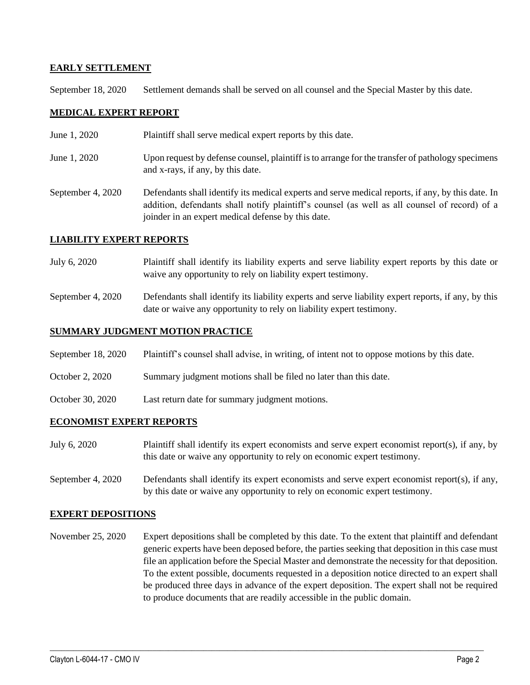### **EARLY SETTLEMENT**

September 18, 2020 Settlement demands shall be served on all counsel and the Special Master by this date.

### **MEDICAL EXPERT REPORT**

- June 1, 2020 Plaintiff shall serve medical expert reports by this date.
- June 1, 2020 Upon request by defense counsel, plaintiff is to arrange for the transfer of pathology specimens and x-rays, if any, by this date.
- September 4, 2020 Defendants shall identify its medical experts and serve medical reports, if any, by this date. In addition, defendants shall notify plaintiff's counsel (as well as all counsel of record) of a joinder in an expert medical defense by this date.

#### **LIABILITY EXPERT REPORTS**

- July 6, 2020 Plaintiff shall identify its liability experts and serve liability expert reports by this date or waive any opportunity to rely on liability expert testimony.
- September 4, 2020 Defendants shall identify its liability experts and serve liability expert reports, if any, by this date or waive any opportunity to rely on liability expert testimony.

### **SUMMARY JUDGMENT MOTION PRACTICE**

- September 18, 2020 Plaintiff's counsel shall advise, in writing, of intent not to oppose motions by this date.
- October 2, 2020 Summary judgment motions shall be filed no later than this date.
- October 30, 2020 Last return date for summary judgment motions.

#### **ECONOMIST EXPERT REPORTS**

- July 6, 2020 Plaintiff shall identify its expert economists and serve expert economist report(s), if any, by this date or waive any opportunity to rely on economic expert testimony.
- September 4, 2020 Defendants shall identify its expert economists and serve expert economist report(s), if any, by this date or waive any opportunity to rely on economic expert testimony.

#### **EXPERT DEPOSITIONS**

November 25, 2020 Expert depositions shall be completed by this date. To the extent that plaintiff and defendant generic experts have been deposed before, the parties seeking that deposition in this case must file an application before the Special Master and demonstrate the necessity for that deposition. To the extent possible, documents requested in a deposition notice directed to an expert shall be produced three days in advance of the expert deposition. The expert shall not be required to produce documents that are readily accessible in the public domain.

 $\_$  , and the set of the set of the set of the set of the set of the set of the set of the set of the set of the set of the set of the set of the set of the set of the set of the set of the set of the set of the set of th